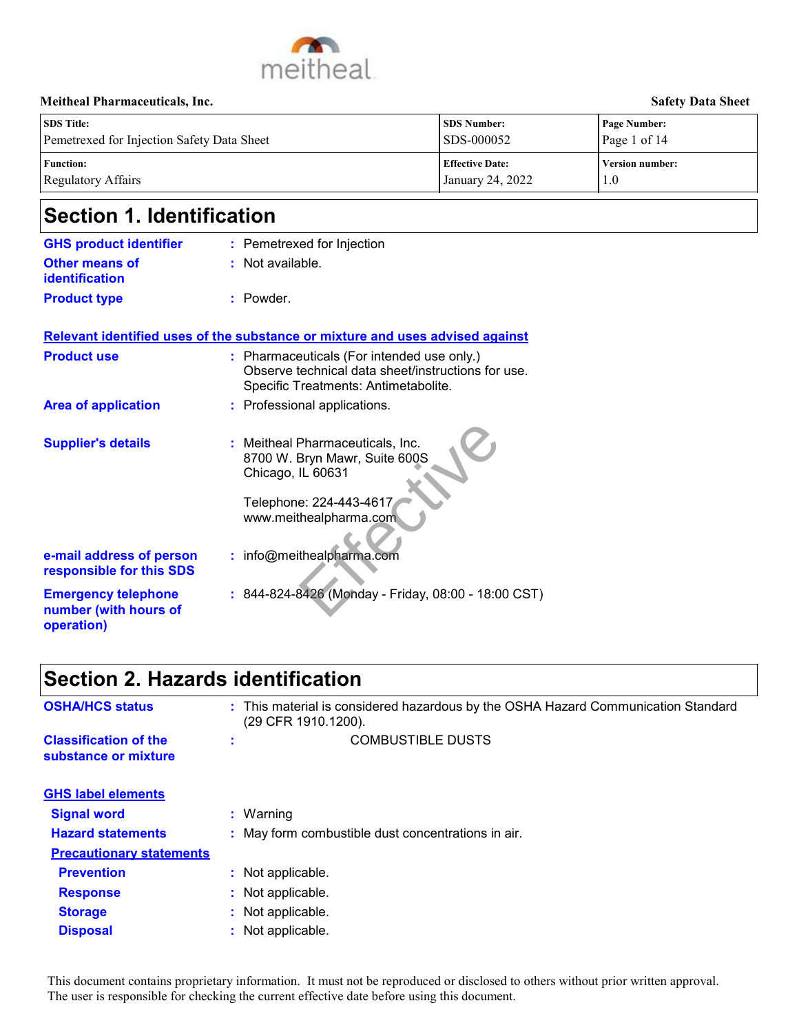

| <b>SDS</b> Title:                          | <b>SDS Number:</b>     | <b>Page Number:</b>    |
|--------------------------------------------|------------------------|------------------------|
| Pemetrexed for Injection Safety Data Sheet | SDS-000052             | Page 1 of 14           |
| <b>Function:</b>                           | <b>Effective Date:</b> | <b>Version number:</b> |
| Regulatory Affairs                         | January 24, 2022       | 1.0                    |

# **Section 1. Identification**

| <b>GHS product identifier</b>                                     |    | : Pemetrexed for Injection                                                                                                                                               |
|-------------------------------------------------------------------|----|--------------------------------------------------------------------------------------------------------------------------------------------------------------------------|
| <b>Other means of</b><br><b>identification</b>                    | t. | Not available.                                                                                                                                                           |
| <b>Product type</b>                                               |    | : Powder.                                                                                                                                                                |
|                                                                   |    | Relevant identified uses of the substance or mixture and uses advised against                                                                                            |
| <b>Product use</b>                                                |    | : Pharmaceuticals (For intended use only.)<br>Observe technical data sheet/instructions for use.<br>Specific Treatments: Antimetabolite.                                 |
| <b>Area of application</b>                                        |    | : Professional applications.                                                                                                                                             |
| <b>Supplier's details</b><br>e-mail address of person             |    | : Meitheal Pharmaceuticals, Inc.<br>8700 W. Bryn Mawr, Suite 600S<br>Chicago, IL 60631<br>Telephone: 224-443-4617<br>www.meithealpharma.com<br>: info@meithealpharma.com |
| responsible for this SDS                                          |    |                                                                                                                                                                          |
| <b>Emergency telephone</b><br>number (with hours of<br>operation) |    | 844-824-8426 (Monday - Friday, 08:00 - 18:00 CST)                                                                                                                        |

# **Section 2. Hazards identification**

| <b>Supplier's details</b>                                         | : Meitheal Pharmaceuticals, Inc.<br>8700 W. Bryn Mawr, Suite 600S<br>Chicago, IL 60631<br>Telephone: 224-443-4617<br>www.meithealpharma.com |
|-------------------------------------------------------------------|---------------------------------------------------------------------------------------------------------------------------------------------|
| e-mail address of person<br>responsible for this SDS              | : info@meithealpharma.com                                                                                                                   |
| <b>Emergency telephone</b><br>number (with hours of<br>operation) | : 844-824-8426 (Monday - Friday, 08:00 - 18:00 CST)                                                                                         |
| <b>Section 2. Hazards identification</b>                          |                                                                                                                                             |
| <b>OSHA/HCS status</b>                                            | : This material is considered hazardous by the OSHA Hazard Communication Standard<br>(29 CFR 1910.1200).                                    |
| <b>Classification of the</b><br>substance or mixture              | <b>COMBUSTIBLE DUSTS</b>                                                                                                                    |
| <b>GHS label elements</b>                                         |                                                                                                                                             |
| <b>Signal word</b>                                                | : Warning                                                                                                                                   |
| <b>Hazard statements</b>                                          | : May form combustible dust concentrations in air.                                                                                          |
| <b>Precautionary statements</b>                                   |                                                                                                                                             |
| <b>Prevention</b>                                                 | : Not applicable.                                                                                                                           |
| <b>Response</b>                                                   | Not applicable.                                                                                                                             |
| <b>Storage</b>                                                    | Not applicable.                                                                                                                             |
| <b>Disposal</b>                                                   | : Not applicable.                                                                                                                           |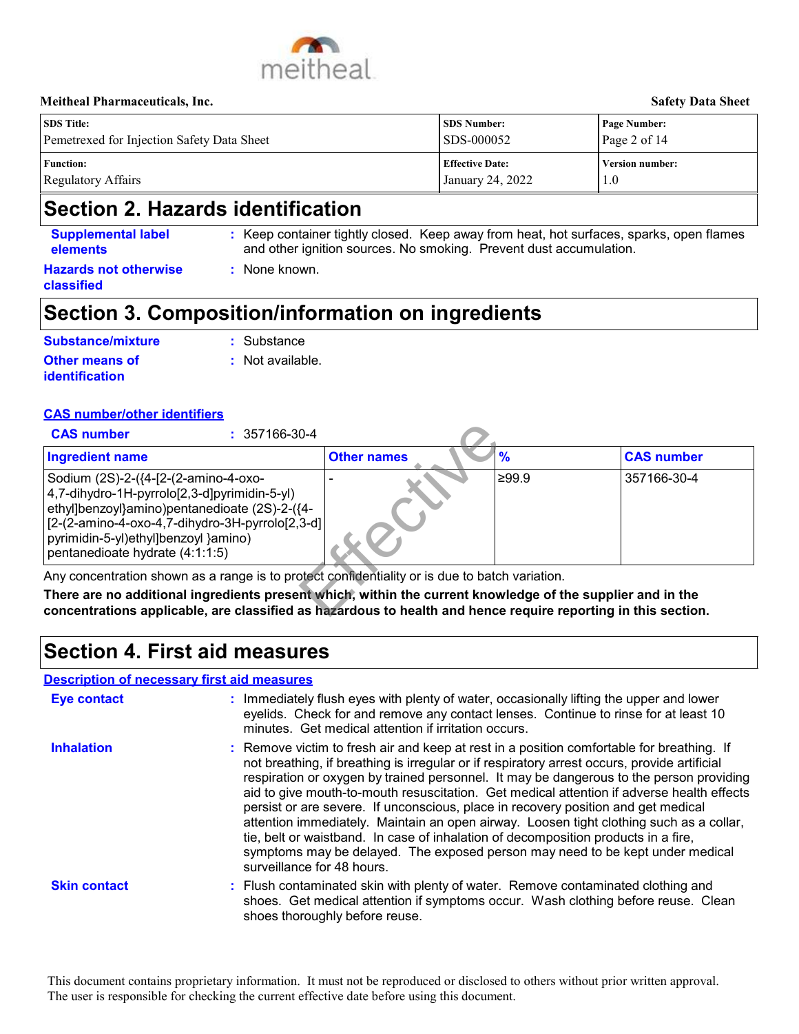

#### **Meitheal Pharmaceuticals, Inc. Safety Data Sheet SDS Number: Effective Date: Page Number: Version number:** Page 2 of 14 Pemetrexed for Injection Safety Data Sheet SDS-000052

January 24, 2022

**Function:** Regulatory Affairs

**SDS Title:**

## **Section 2. Hazards identification**

| <b>Supplemental label</b><br><b>elements</b> | : Keep container tightly closed. Keep away from heat, hot surfaces, sparks, open flames<br>and other ignition sources. No smoking. Prevent dust accumulation. |
|----------------------------------------------|---------------------------------------------------------------------------------------------------------------------------------------------------------------|
| <b>Hazards not otherwise</b><br>classified   | None known.                                                                                                                                                   |
|                                              |                                                                                                                                                               |

## **Section 3. Composition/information on ingredients**

| Substance/mixture                              | $:$ Substance               |
|------------------------------------------------|-----------------------------|
| <b>Other means of</b><br><b>identification</b> | $\therefore$ Not available. |

### **CAS number/other identifiers**

| <b>CAS number</b><br>$: 357166 - 30 - 4$                                                                                                                                                                                                                             |                    |       |                   |
|----------------------------------------------------------------------------------------------------------------------------------------------------------------------------------------------------------------------------------------------------------------------|--------------------|-------|-------------------|
| <b>Ingredient name</b>                                                                                                                                                                                                                                               | <b>Other names</b> | '%    | <b>CAS number</b> |
| Sodium (2S)-2-({4-[2-(2-amino-4-oxo-<br>4,7-dihydro-1H-pyrrolo[2,3-d]pyrimidin-5-yl)<br>ethyl]benzoyl}amino)pentanedioate (2S)-2-({4-<br>[2-(2-amino-4-oxo-4,7-dihydro-3H-pyrrolo[2,3-d]]<br>pyrimidin-5-yl)ethyl]benzoyl }amino)<br>pentanedioate hydrate (4:1:1:5) |                    | ≥99.9 | 357166-30-4       |

## **Section 4. First aid measures**

#### **Description of necessary first aid measures**

| <b>Ingredient name</b>                                                                                                                                                                                           |                                                                                                                                                                                                                                                              | <b>Other names</b>                                                                                                                                                      | $\frac{9}{6}$ | <b>CAS number</b>                                                                                                                                                                                                                                                                                                                                                                                                                                                |
|------------------------------------------------------------------------------------------------------------------------------------------------------------------------------------------------------------------|--------------------------------------------------------------------------------------------------------------------------------------------------------------------------------------------------------------------------------------------------------------|-------------------------------------------------------------------------------------------------------------------------------------------------------------------------|---------------|------------------------------------------------------------------------------------------------------------------------------------------------------------------------------------------------------------------------------------------------------------------------------------------------------------------------------------------------------------------------------------------------------------------------------------------------------------------|
| Sodium (2S)-2-({4-[2-(2-amino-4-oxo-<br>4,7-dihydro-1H-pyrrolo[2,3-d]pyrimidin-5-yl)<br>ethyl]benzoyl}amino)pentanedioate (2S)-2-({4-<br>pyrimidin-5-yl)ethyl]benzoyl }amino)<br>pentanedioate hydrate (4:1:1:5) | [2-(2-amino-4-oxo-4,7-dihydro-3H-pyrrolo[2,3-d]                                                                                                                                                                                                              |                                                                                                                                                                         | ≥99.9         | 357166-30-4                                                                                                                                                                                                                                                                                                                                                                                                                                                      |
|                                                                                                                                                                                                                  | Any concentration shown as a range is to protect confidentiality or is due to batch variation.                                                                                                                                                               |                                                                                                                                                                         |               |                                                                                                                                                                                                                                                                                                                                                                                                                                                                  |
|                                                                                                                                                                                                                  | There are no additional ingredients present which, within the current knowledge of the supplier and in the<br>concentrations applicable, are classified as hazardous to health and hence require reporting in this section.<br>Section 4. First aid measures |                                                                                                                                                                         |               |                                                                                                                                                                                                                                                                                                                                                                                                                                                                  |
|                                                                                                                                                                                                                  | <b>Description of necessary first aid measures</b>                                                                                                                                                                                                           |                                                                                                                                                                         |               |                                                                                                                                                                                                                                                                                                                                                                                                                                                                  |
| <b>Eye contact</b>                                                                                                                                                                                               |                                                                                                                                                                                                                                                              | minutes. Get medical attention if irritation occurs.                                                                                                                    |               | : Immediately flush eyes with plenty of water, occasionally lifting the upper and lower<br>eyelids. Check for and remove any contact lenses. Continue to rinse for at least 10                                                                                                                                                                                                                                                                                   |
|                                                                                                                                                                                                                  |                                                                                                                                                                                                                                                              |                                                                                                                                                                         |               |                                                                                                                                                                                                                                                                                                                                                                                                                                                                  |
| <b>Inhalation</b>                                                                                                                                                                                                | : Remove victim to fresh air and keep at rest in a position comfortable for breathing. If<br>surveillance for 48 hours.                                                                                                                                      | persist or are severe. If unconscious, place in recovery position and get medical<br>tie, belt or waistband. In case of inhalation of decomposition products in a fire, |               | not breathing, if breathing is irregular or if respiratory arrest occurs, provide artificial<br>respiration or oxygen by trained personnel. It may be dangerous to the person providing<br>aid to give mouth-to-mouth resuscitation. Get medical attention if adverse health effects<br>attention immediately. Maintain an open airway. Loosen tight clothing such as a collar,<br>symptoms may be delayed. The exposed person may need to be kept under medical |

1.0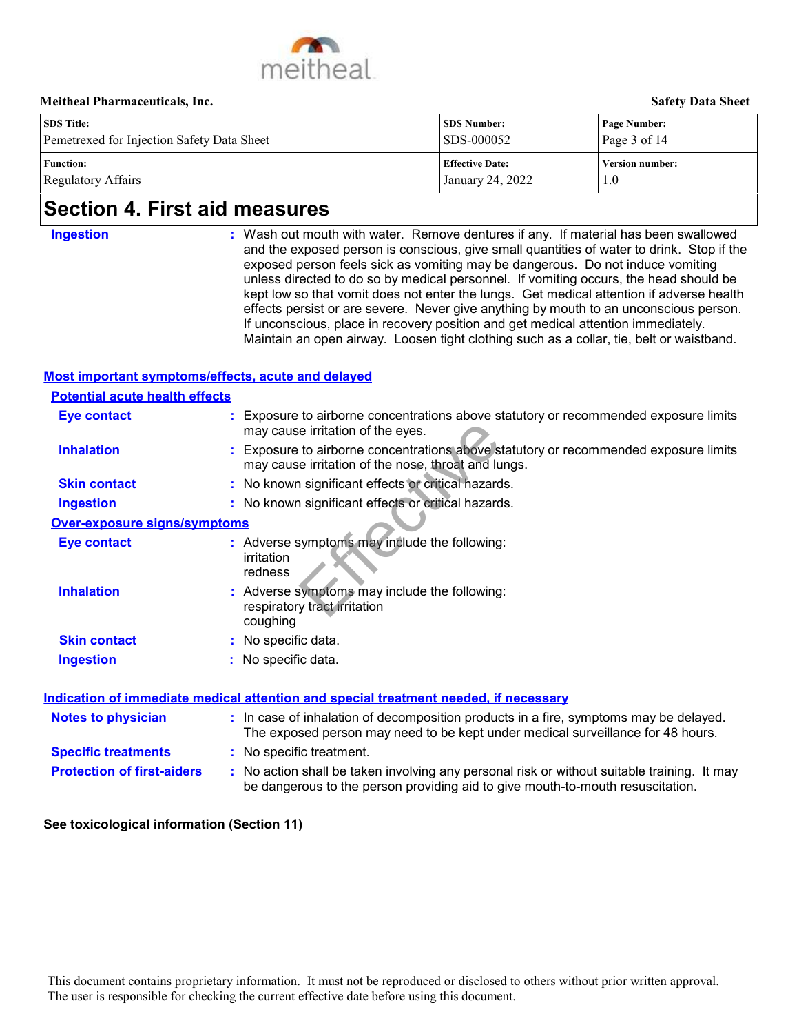

|                                            |                        | _____________________  |
|--------------------------------------------|------------------------|------------------------|
| <b>SDS</b> Title:                          | <b>SDS Number:</b>     | <b>Page Number:</b>    |
| Pemetrexed for Injection Safety Data Sheet | SDS-000052             | Page $3$ of 14         |
| <b>Function:</b>                           | <b>Effective Date:</b> | <b>Version number:</b> |
| Regulatory Affairs                         | January 24, 2022       | 1.0                    |

## **Section 4. First aid measures**

**Ingestion :**

Wash out mouth with water. Remove dentures if any. If material has been swallowed and the exposed person is conscious, give small quantities of water to drink. Stop if the exposed person feels sick as vomiting may be dangerous. Do not induce vomiting unless directed to do so by medical personnel. If vomiting occurs, the head should be kept low so that vomit does not enter the lungs. Get medical attention if adverse health effects persist or are severe. Never give anything by mouth to an unconscious person. If unconscious, place in recovery position and get medical attention immediately. Maintain an open airway. Loosen tight clothing such as a collar, tie, belt or waistband.

#### **Most important symptoms/effects, acute and delayed**

### **Potential acute health effects**

| <b>Eye contact</b>                         | : Exposure to airborne concentrations above statutory or recommended exposure limits<br>may cause irritation of the eyes.                                                                                                                                               |
|--------------------------------------------|-------------------------------------------------------------------------------------------------------------------------------------------------------------------------------------------------------------------------------------------------------------------------|
| <b>Inhalation</b>                          | Exposure to airborne concentrations above statutory or recommended exposure limits<br>may cause irritation of the nose, throat and lungs.                                                                                                                               |
| <b>Skin contact</b>                        | : No known significant effects or critical hazards.                                                                                                                                                                                                                     |
| <b>Ingestion</b>                           | : No known significant effects or critical hazards.                                                                                                                                                                                                                     |
| Over-exposure signs/symptoms               |                                                                                                                                                                                                                                                                         |
| <b>Eye contact</b>                         | : Adverse symptoms may include the following:<br>irritation<br>redness                                                                                                                                                                                                  |
| <b>Inhalation</b>                          | Adverse symptoms may include the following:<br>respiratory tract irritation<br>coughing                                                                                                                                                                                 |
| <b>Skin contact</b>                        | : No specific data.                                                                                                                                                                                                                                                     |
| <b>Ingestion</b>                           | : No specific data.                                                                                                                                                                                                                                                     |
| <b>Notes to physician</b>                  | <b>Indication of immediate medical attention and special treatment needed, if necessary</b><br>: In case of inhalation of decomposition products in a fire, symptoms may be delayed.<br>The exposed person may need to be kept under medical surveillance for 48 hours. |
| <b>Specific treatments</b>                 | : No specific treatment.                                                                                                                                                                                                                                                |
| <b>Protection of first-aiders</b>          | : No action shall be taken involving any personal risk or without suitable training. It may<br>be dangerous to the person providing aid to give mouth-to-mouth resuscitation.                                                                                           |
| See toxicological information (Section 11) |                                                                                                                                                                                                                                                                         |
|                                            |                                                                                                                                                                                                                                                                         |
|                                            |                                                                                                                                                                                                                                                                         |
|                                            |                                                                                                                                                                                                                                                                         |
|                                            | This document contains proprietary information. It must not be reproduced or disclosed to others without prior written approval.<br>The user is responsible for checking the current effective date before using this document.                                         |

#### **See toxicological information (Section 11)**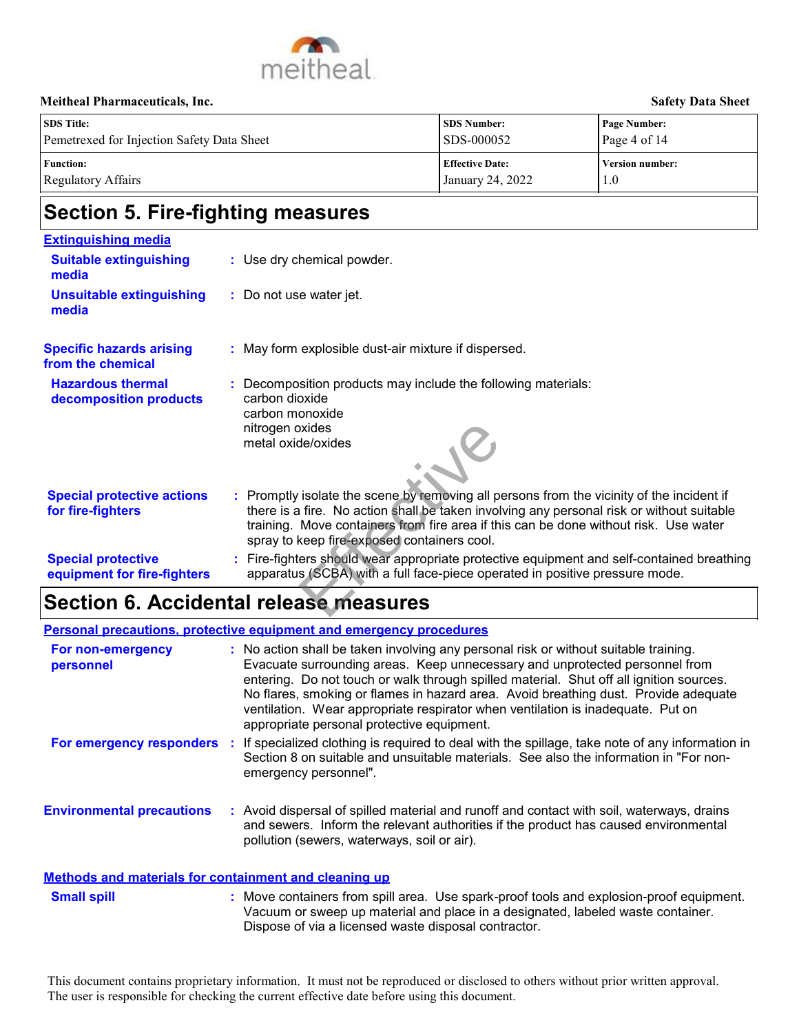

| <b>SDS</b> Title:                          | <b>SDS Number:</b>                     | <b>Page Number:</b>    |
|--------------------------------------------|----------------------------------------|------------------------|
| Pemetrexed for Injection Safety Data Sheet | $\textcolor{blue}{\text{SDS}}$ -000052 | Page 4 of $14$         |
| <b>Function:</b>                           | <b>Effective Date:</b>                 | <b>Version number:</b> |
| Regulatory Affairs                         | January 24, 2022                       | 1.0                    |

## **Section 5. Fire-fighting measures**

| <b>Extinguishing media</b>                               |                                                                                                                                                                                                                                                                                                                               |
|----------------------------------------------------------|-------------------------------------------------------------------------------------------------------------------------------------------------------------------------------------------------------------------------------------------------------------------------------------------------------------------------------|
| <b>Suitable extinguishing</b><br>media                   | : Use dry chemical powder.                                                                                                                                                                                                                                                                                                    |
| <b>Unsuitable extinguishing</b><br>media                 | : Do not use water jet.                                                                                                                                                                                                                                                                                                       |
| <b>Specific hazards arising</b><br>from the chemical     | : May form explosible dust-air mixture if dispersed.                                                                                                                                                                                                                                                                          |
| <b>Hazardous thermal</b><br>decomposition products       | Decomposition products may include the following materials:<br>carbon dioxide<br>carbon monoxide<br>nitrogen oxides<br>metal oxide/oxides                                                                                                                                                                                     |
| <b>Special protective actions</b><br>for fire-fighters   | : Promptly isolate the scene by removing all persons from the vicinity of the incident if<br>there is a fire. No action shall be taken involving any personal risk or without suitable<br>training. Move containers from fire area if this can be done without risk. Use water<br>spray to keep fire-exposed containers cool. |
| <b>Special protective</b><br>equipment for fire-fighters | : Fire-fighters should wear appropriate protective equipment and self-contained breathing<br>apparatus (SCBA) with a full face-piece operated in positive pressure mode.                                                                                                                                                      |

## **Section 6. Accidental release measures**

|                                                              | nitrogen oxides<br>metal oxide/oxides                                                                                                                                                                                                                                                                                                                                                                                                                                                  |
|--------------------------------------------------------------|----------------------------------------------------------------------------------------------------------------------------------------------------------------------------------------------------------------------------------------------------------------------------------------------------------------------------------------------------------------------------------------------------------------------------------------------------------------------------------------|
| <b>Special protective actions</b><br>for fire-fighters       | : Promptly isolate the scene by removing all persons from the vicinity of the incident if<br>there is a fire. No action shall be taken involving any personal risk or without suitable<br>training. Move containers from fire area if this can be done without risk. Use water<br>spray to keep fire-exposed containers cool.                                                                                                                                                          |
| <b>Special protective</b><br>equipment for fire-fighters     | : Fire-fighters should wear appropriate protective equipment and self-contained breathing<br>apparatus (SCBA) with a full face-piece operated in positive pressure mode.                                                                                                                                                                                                                                                                                                               |
|                                                              | <b>Section 6. Accidental release measures</b>                                                                                                                                                                                                                                                                                                                                                                                                                                          |
|                                                              | <b>Personal precautions, protective equipment and emergency procedures</b>                                                                                                                                                                                                                                                                                                                                                                                                             |
| For non-emergency<br>personnel                               | : No action shall be taken involving any personal risk or without suitable training.<br>Evacuate surrounding areas. Keep unnecessary and unprotected personnel from<br>entering. Do not touch or walk through spilled material. Shut off all ignition sources.<br>No flares, smoking or flames in hazard area. Avoid breathing dust. Provide adequate<br>ventilation. Wear appropriate respirator when ventilation is inadequate. Put on<br>appropriate personal protective equipment. |
| For emergency responders                                     | If specialized clothing is required to deal with the spillage, take note of any information in<br>Section 8 on suitable and unsuitable materials. See also the information in "For non-<br>emergency personnel".                                                                                                                                                                                                                                                                       |
| <b>Environmental precautions</b>                             | : Avoid dispersal of spilled material and runoff and contact with soil, waterways, drains<br>and sewers. Inform the relevant authorities if the product has caused environmental<br>pollution (sewers, waterways, soil or air).                                                                                                                                                                                                                                                        |
| <b>Methods and materials for containment and cleaning up</b> |                                                                                                                                                                                                                                                                                                                                                                                                                                                                                        |
| <b>Small spill</b>                                           | : Move containers from spill area. Use spark-proof tools and explosion-proof equipment.<br>Vacuum or sweep up material and place in a designated, labeled waste container.<br>Dispose of via a licensed waste disposal contractor.                                                                                                                                                                                                                                                     |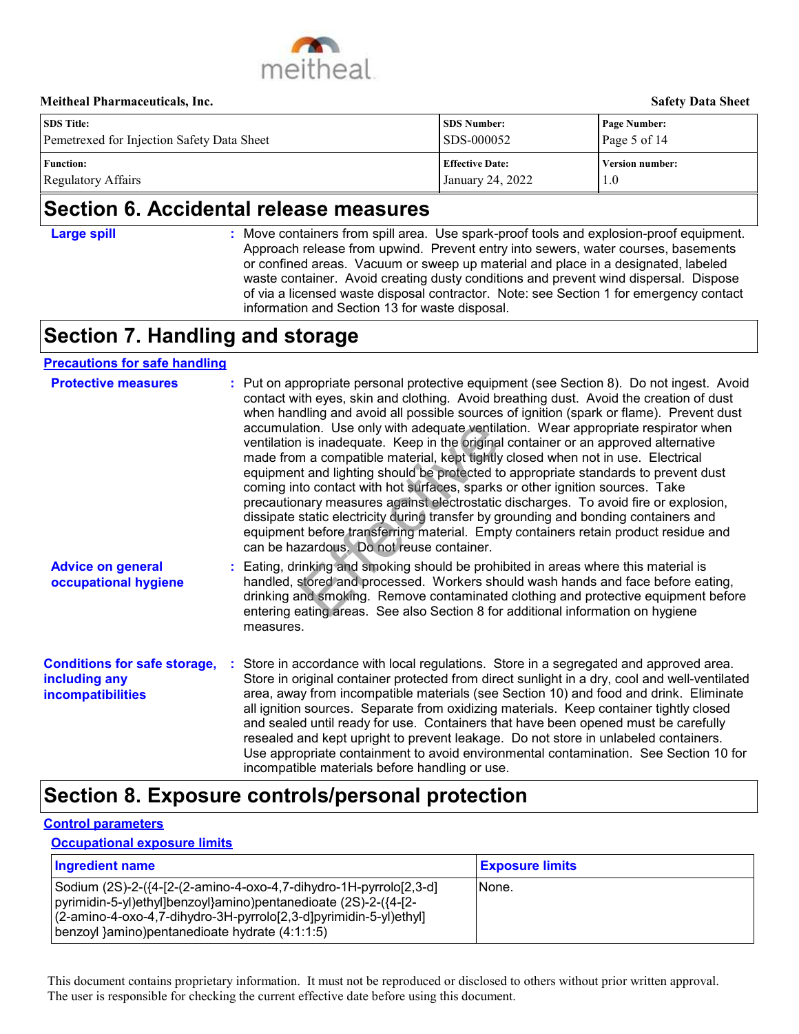

| <b>SDS</b> Title:                          | <b>SDS Number:</b>     | <b>Page Number:</b>    |
|--------------------------------------------|------------------------|------------------------|
| Pemetrexed for Injection Safety Data Sheet | SDS-000052             | Page 5 of $14$         |
| <b>Function:</b>                           | <b>Effective Date:</b> | <b>Version number:</b> |
| Regulatory Affairs                         | January 24, 2022       | 1.0                    |

## **Section 6. Accidental release measures**

- **Large spill :**
- : Move containers from spill area. Use spark-proof tools and explosion-proof equipment. Approach release from upwind. Prevent entry into sewers, water courses, basements or confined areas. Vacuum or sweep up material and place in a designated, labeled waste container. Avoid creating dusty conditions and prevent wind dispersal. Dispose of via a licensed waste disposal contractor. Note: see Section 1 for emergency contact information and Section 13 for waste disposal.

## **Section 7. Handling and storage**

## **Advice on general occupational hygiene Conditions for safe storage,** : Store in accordance with local regulations. Store in a segregated and approved area. **including any incompatibilities** Eating, drinking and smoking should be prohibited in areas where this material is **:** handled, stored and processed. Workers should wash hands and face before eating, drinking and smoking. Remove contaminated clothing and protective equipment before entering eating areas. See also Section 8 for additional information on hygiene measures. Store in original container protected from direct sunlight in a dry, cool and well-ventilated area, away from incompatible materials (see Section 10) and food and drink. Eliminate all ignition sources. Separate from oxidizing materials. Keep container tightly closed and sealed until ready for use. Containers that have been opened must be carefully resealed and kept upright to prevent leakage. Do not store in unlabeled containers. Use appropriate containment to avoid environmental contamination. See Section 10 for incompatible materials before handling or use. **Protective measures** : Put on appropriate personal protective equipment (see Section 8). Do not ingest. Avoid contact with eyes, skin and clothing. Avoid breathing dust. Avoid the creation of dust when handling and avoid all possible sources of ignition (spark or flame). Prevent dust accumulation. Use only with adequate ventilation. Wear appropriate respirator when ventilation is inadequate. Keep in the original container or an approved alternative made from a compatible material, kept tightly closed when not in use. Electrical equipment and lighting should be protected to appropriate standards to prevent dust coming into contact with hot surfaces, sparks or other ignition sources. Take precautionary measures against electrostatic discharges. To avoid fire or explosion, dissipate static electricity during transfer by grounding and bonding containers and equipment before transferring material. Empty containers retain product residue and can be hazardous. Do not reuse container. **Precautions for safe handling Exponsible material schemes the user in the user in the properties of the user in the original ton material (and the material Age theorem at compatible material Age theorem and the current effective during the container**

## **Section 8. Exposure controls/personal protection**

#### **Control parameters**

**Occupational exposure limits**

| Ingredient name                                                                                                                                                                                                                                               | <b>Exposure limits</b> |
|---------------------------------------------------------------------------------------------------------------------------------------------------------------------------------------------------------------------------------------------------------------|------------------------|
| Sodium (2S)-2-({4-[2-(2-amino-4-oxo-4,7-dihydro-1H-pyrrolo[2,3-d]<br>pyrimidin-5-yl)ethyl]benzoyl}amino)pentanedioate (2S)-2-({4-[2-<br> (2-amino-4-oxo-4,7-dihydro-3H-pyrrolo[2,3-d]pyrimidin-5-yl)ethyl]<br> benzoyl }amino)pentanedioate hydrate (4:1:1:5) | INone.                 |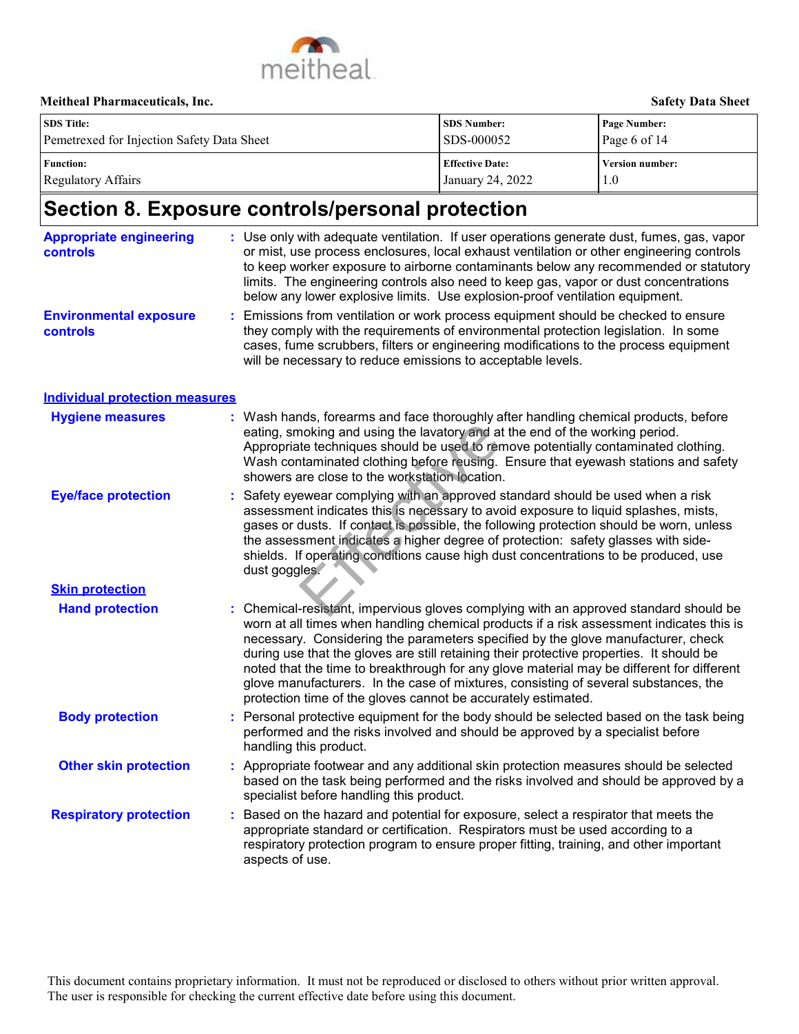

| <b>SDS</b> Title:                          | <b>SDS Number:</b>     | <b>Page Number:</b> |  |
|--------------------------------------------|------------------------|---------------------|--|
| Pemetrexed for Injection Safety Data Sheet | <b>SDS-000052</b>      | Page 6 of 14        |  |
| <b>Function:</b>                           | <b>Effective Date:</b> | Version number:     |  |
| Regulatory Affairs                         | January 24, 2022       | 1.0                 |  |

# **Section 8. Exposure controls/personal protection**

| <b>Appropriate engineering</b><br><b>controls</b> | : Use only with adequate ventilation. If user operations generate dust, fumes, gas, vapor<br>or mist, use process enclosures, local exhaust ventilation or other engineering controls<br>to keep worker exposure to airborne contaminants below any recommended or statutory<br>limits. The engineering controls also need to keep gas, vapor or dust concentrations<br>below any lower explosive limits. Use explosion-proof ventilation equipment.                                                                                                                                                                 |
|---------------------------------------------------|----------------------------------------------------------------------------------------------------------------------------------------------------------------------------------------------------------------------------------------------------------------------------------------------------------------------------------------------------------------------------------------------------------------------------------------------------------------------------------------------------------------------------------------------------------------------------------------------------------------------|
| <b>Environmental exposure</b><br>controls         | Emissions from ventilation or work process equipment should be checked to ensure<br>they comply with the requirements of environmental protection legislation. In some<br>cases, fume scrubbers, filters or engineering modifications to the process equipment<br>will be necessary to reduce emissions to acceptable levels.                                                                                                                                                                                                                                                                                        |
| <b>Individual protection measures</b>             |                                                                                                                                                                                                                                                                                                                                                                                                                                                                                                                                                                                                                      |
| <b>Hygiene measures</b>                           | : Wash hands, forearms and face thoroughly after handling chemical products, before<br>eating, smoking and using the lavatory and at the end of the working period.<br>Appropriate techniques should be used to remove potentially contaminated clothing.<br>Wash contaminated clothing before reusing. Ensure that eyewash stations and safety<br>showers are close to the workstation location.                                                                                                                                                                                                                    |
| <b>Eye/face protection</b>                        | Safety eyewear complying with an approved standard should be used when a risk<br>assessment indicates this is necessary to avoid exposure to liquid splashes, mists,<br>gases or dusts. If contact is possible, the following protection should be worn, unless<br>the assessment indicates a higher degree of protection: safety glasses with side-<br>shields. If operating conditions cause high dust concentrations to be produced, use<br>dust goggles.                                                                                                                                                         |
| <b>Skin protection</b>                            |                                                                                                                                                                                                                                                                                                                                                                                                                                                                                                                                                                                                                      |
| <b>Hand protection</b>                            | Chemical-resistant, impervious gloves complying with an approved standard should be<br>worn at all times when handling chemical products if a risk assessment indicates this is<br>necessary. Considering the parameters specified by the glove manufacturer, check<br>during use that the gloves are still retaining their protective properties. It should be<br>noted that the time to breakthrough for any glove material may be different for different<br>glove manufacturers. In the case of mixtures, consisting of several substances, the<br>protection time of the gloves cannot be accurately estimated. |
| <b>Body protection</b>                            | Personal protective equipment for the body should be selected based on the task being<br>performed and the risks involved and should be approved by a specialist before<br>handling this product.                                                                                                                                                                                                                                                                                                                                                                                                                    |
| <b>Other skin protection</b>                      | : Appropriate footwear and any additional skin protection measures should be selected<br>based on the task being performed and the risks involved and should be approved by a<br>specialist before handling this product.                                                                                                                                                                                                                                                                                                                                                                                            |
| <b>Respiratory protection</b>                     | Based on the hazard and potential for exposure, select a respirator that meets the<br>appropriate standard or certification. Respirators must be used according to a<br>respiratory protection program to ensure proper fitting, training, and other important<br>aspects of use.                                                                                                                                                                                                                                                                                                                                    |
|                                                   | This document contains proprietary information. It must not be reproduced or disclosed to others without prior written approval.<br>The user is responsible for checking the current effective date before using this document.                                                                                                                                                                                                                                                                                                                                                                                      |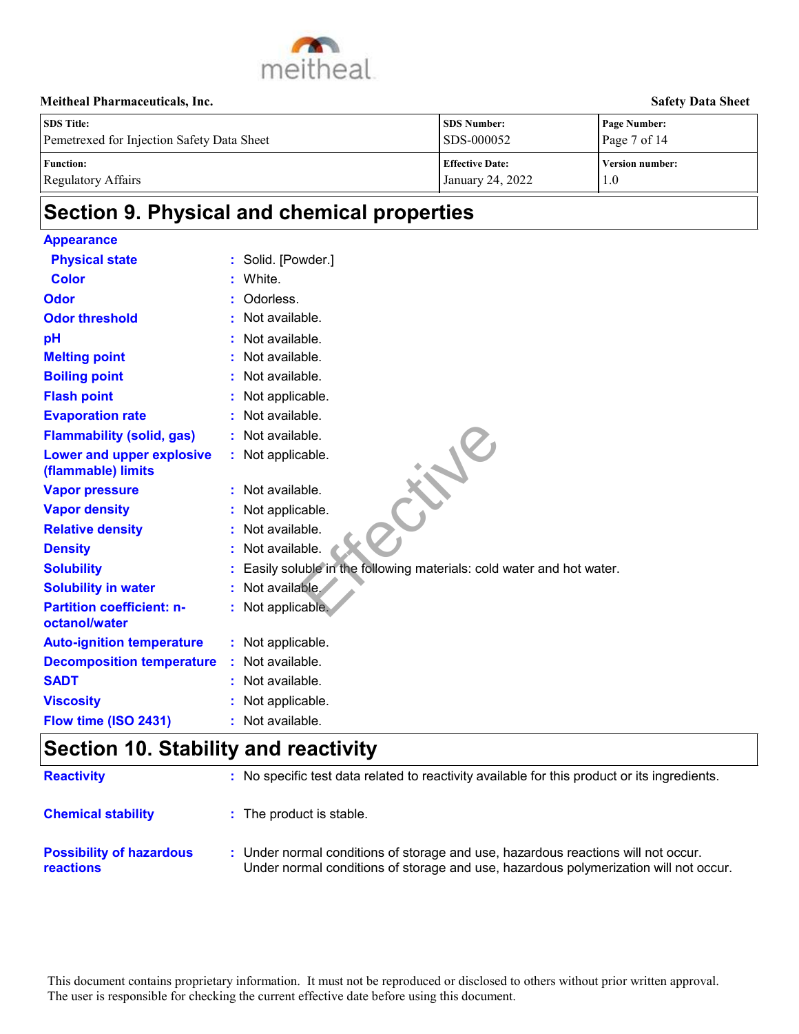

| <b>SDS</b> Title:                          | <b>SDS Number:</b>     | Page Number:           |
|--------------------------------------------|------------------------|------------------------|
| Pemetrexed for Injection Safety Data Sheet | SDS-000052             | Page $7$ of 14         |
| <b>Function:</b>                           | <b>Effective Date:</b> | <b>Version number:</b> |
| Regulatory Affairs                         | January 24, 2022       | 1.0                    |

# **Section 9. Physical and chemical properties**

| <b>Appearance</b>                                 |                                                                                                                                                                           |
|---------------------------------------------------|---------------------------------------------------------------------------------------------------------------------------------------------------------------------------|
| <b>Physical state</b>                             | Solid. [Powder.]                                                                                                                                                          |
| <b>Color</b>                                      | White.                                                                                                                                                                    |
| <b>Odor</b>                                       | Odorless.                                                                                                                                                                 |
| <b>Odor threshold</b>                             | Not available.                                                                                                                                                            |
| pH                                                | Not available.                                                                                                                                                            |
| <b>Melting point</b>                              | Not available.                                                                                                                                                            |
| <b>Boiling point</b>                              | Not available.                                                                                                                                                            |
| <b>Flash point</b>                                | Not applicable.                                                                                                                                                           |
| <b>Evaporation rate</b>                           | Not available.                                                                                                                                                            |
| <b>Flammability (solid, gas)</b>                  | Not available.                                                                                                                                                            |
| Lower and upper explosive<br>(flammable) limits   | : Not applicable.                                                                                                                                                         |
| <b>Vapor pressure</b>                             | : Not available.                                                                                                                                                          |
| <b>Vapor density</b>                              | Not applicable.                                                                                                                                                           |
| <b>Relative density</b>                           | Not available.                                                                                                                                                            |
| <b>Density</b>                                    | Not available.                                                                                                                                                            |
| <b>Solubility</b>                                 | Easily soluble in the following materials: cold water and hot water.                                                                                                      |
| <b>Solubility in water</b>                        | Not available.                                                                                                                                                            |
| <b>Partition coefficient: n-</b><br>octanol/water | : Not applicable.                                                                                                                                                         |
| <b>Auto-ignition temperature</b>                  | : Not applicable.                                                                                                                                                         |
| <b>Decomposition temperature</b>                  | : Not available.                                                                                                                                                          |
| <b>SADT</b>                                       | Not available.                                                                                                                                                            |
| <b>Viscosity</b>                                  | Not applicable.                                                                                                                                                           |
| Flow time (ISO 2431)                              | : Not available.                                                                                                                                                          |
| <b>Section 10. Stability and reactivity</b>       |                                                                                                                                                                           |
| <b>Reactivity</b>                                 | : No specific test data related to reactivity available for this product or its ingredients.                                                                              |
| <b>Chemical stability</b>                         | : The product is stable.                                                                                                                                                  |
| <b>Possibility of hazardous</b><br>reactions      | : Under normal conditions of storage and use, hazardous reactions will not occur.<br>Under normal conditions of storage and use, hazardous polymerization will not occur. |
|                                                   | This document contains proprietary information. It must not be reproduced or disclosed to others without prior written approval.                                          |
|                                                   | The user is responsible for checking the current effective date before using this document.                                                                               |

## **Section 10. Stability and reactivity**

| <b>Reactivity</b>                            | : No specific test data related to reactivity available for this product or its ingredients.                                                                              |
|----------------------------------------------|---------------------------------------------------------------------------------------------------------------------------------------------------------------------------|
| <b>Chemical stability</b>                    | : The product is stable.                                                                                                                                                  |
| <b>Possibility of hazardous</b><br>reactions | : Under normal conditions of storage and use, hazardous reactions will not occur.<br>Under normal conditions of storage and use, hazardous polymerization will not occur. |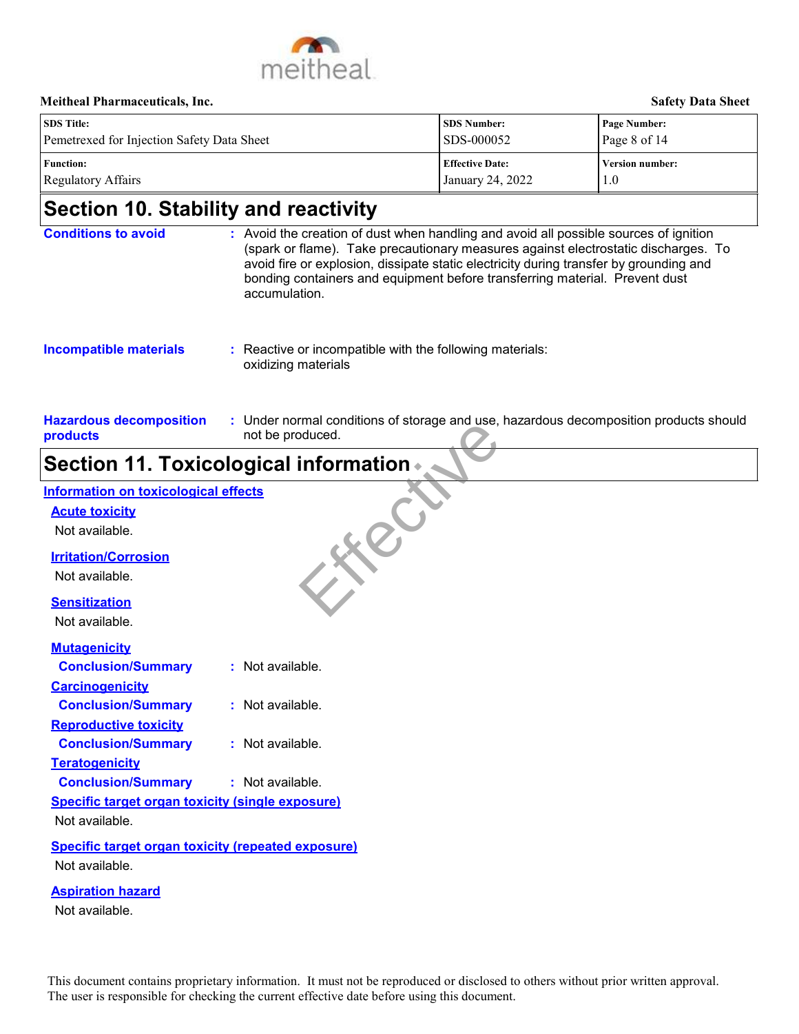

**Hazardous decomposition** 

| <b>SDS</b> Title:                          | <b>SDS Number:</b>     | Page Number:           |
|--------------------------------------------|------------------------|------------------------|
| Pemetrexed for Injection Safety Data Sheet | SDS-000052             | Page 8 of 14           |
| <b>Function:</b>                           | <b>Effective Date:</b> | <b>Version number:</b> |
| Regulatory Affairs                         | January 24, 2022       | 1.0                    |

## **Section 10. Stability and reactivity**

| <b>Conditions to avoid</b>    | : Avoid the creation of dust when handling and avoid all possible sources of ignition<br>(spark or flame). Take precautionary measures against electrostatic discharges. To<br>avoid fire or explosion, dissipate static electricity during transfer by grounding and<br>bonding containers and equipment before transferring material. Prevent dust<br>accumulation. |  |
|-------------------------------|-----------------------------------------------------------------------------------------------------------------------------------------------------------------------------------------------------------------------------------------------------------------------------------------------------------------------------------------------------------------------|--|
| <b>Incompatible materials</b> | : Reactive or incompatible with the following materials:<br>oxidizing materials                                                                                                                                                                                                                                                                                       |  |

Under normal conditions of storage and use, hazardous decomposition products should **:**

#### **products** not be produced.

# **Section 11. Toxicological information**

|                                                                                                 | <b>Section 11. Toxicological information ♦</b> |
|-------------------------------------------------------------------------------------------------|------------------------------------------------|
| <b>Information on toxicological effects</b>                                                     |                                                |
| <b>Acute toxicity</b>                                                                           |                                                |
| Not available.                                                                                  |                                                |
| <b>Irritation/Corrosion</b>                                                                     |                                                |
| Not available.                                                                                  |                                                |
| <b>Sensitization</b>                                                                            |                                                |
| Not available.                                                                                  |                                                |
| <b>Mutagenicity</b>                                                                             |                                                |
| <b>Conclusion/Summary</b>                                                                       | : Not available.                               |
| <b>Carcinogenicity</b>                                                                          |                                                |
| <b>Conclusion/Summary</b>                                                                       | : Not available.                               |
| <b>Reproductive toxicity</b>                                                                    |                                                |
| <b>Conclusion/Summary</b>                                                                       | $:$ Not available.                             |
| <b>Teratogenicity</b>                                                                           |                                                |
| <b>Conclusion/Summary</b>                                                                       | : Not available.                               |
| <b>Specific target organ toxicity (single exposure)</b>                                         |                                                |
| Not available.                                                                                  |                                                |
| Specific target organ toxicity (repeated exposure)                                              |                                                |
| Not available.                                                                                  |                                                |
| <b>Aspiration hazard</b>                                                                        |                                                |
| Not available.                                                                                  |                                                |
|                                                                                                 |                                                |
|                                                                                                 |                                                |
| This document contains proprietary information. It must not be reproduced or disclosed to other |                                                |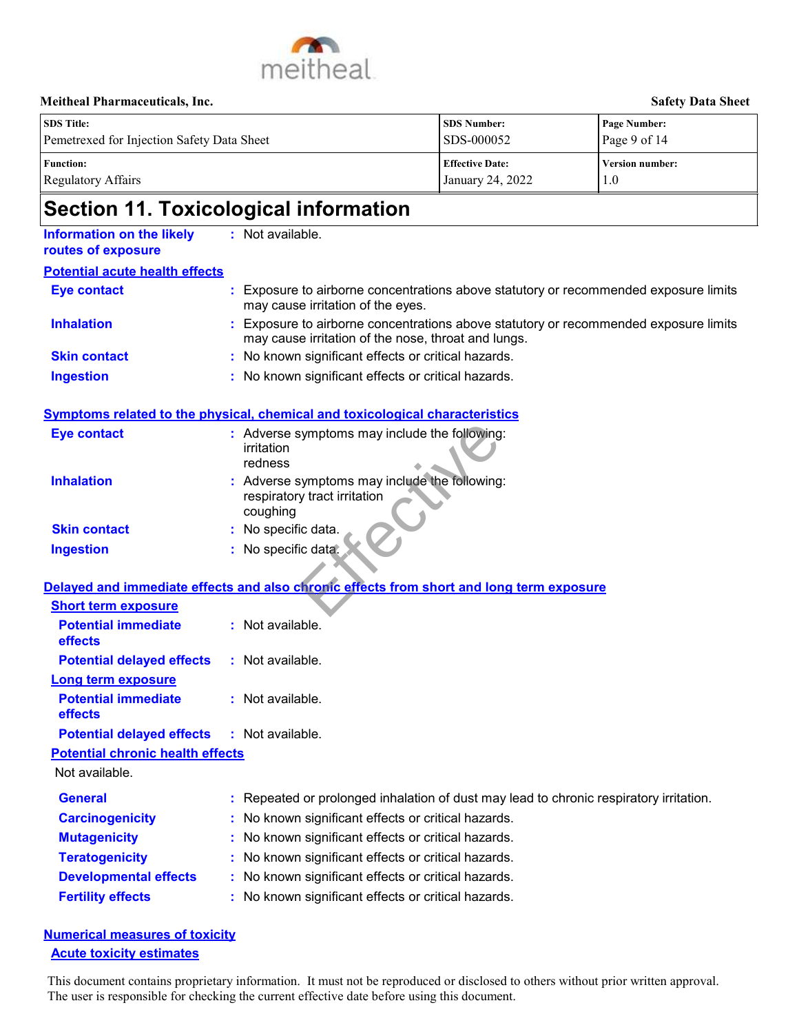

| <b>SDS</b> Title:<br>Pemetrexed for Injection Safety Data Sheet | <b>SDS Number:</b><br>SDS-000052 | Page Number:<br>Page 9 of $14$ |
|-----------------------------------------------------------------|----------------------------------|--------------------------------|
| <b>Function:</b>                                                | <b>Effective Date:</b>           | <b>Version number:</b>         |
| Regulatory Affairs                                              | <b>January 24, 2022</b>          | 1.0                            |

# **Section 11. Toxicological information**

| <b>Information on the likely</b><br>routes of exposure | : Not available.                                                                                                                                                                                                                |
|--------------------------------------------------------|---------------------------------------------------------------------------------------------------------------------------------------------------------------------------------------------------------------------------------|
| <b>Potential acute health effects</b>                  |                                                                                                                                                                                                                                 |
| <b>Eye contact</b>                                     | Exposure to airborne concentrations above statutory or recommended exposure limits<br>may cause irritation of the eyes.                                                                                                         |
| <b>Inhalation</b>                                      | Exposure to airborne concentrations above statutory or recommended exposure limits<br>may cause irritation of the nose, throat and lungs.                                                                                       |
| <b>Skin contact</b>                                    | : No known significant effects or critical hazards.                                                                                                                                                                             |
| <b>Ingestion</b>                                       | : No known significant effects or critical hazards.                                                                                                                                                                             |
|                                                        | Symptoms related to the physical, chemical and toxicological characteristics                                                                                                                                                    |
| <b>Eye contact</b>                                     | : Adverse symptoms may include the following:<br>irritation<br>redness                                                                                                                                                          |
| <b>Inhalation</b>                                      | : Adverse symptoms may include the following:<br>respiratory tract irritation<br>coughing                                                                                                                                       |
| <b>Skin contact</b>                                    | No specific data.                                                                                                                                                                                                               |
| <b>Ingestion</b>                                       | : No specific data.                                                                                                                                                                                                             |
|                                                        | Delayed and immediate effects and also chronic effects from short and long term exposure                                                                                                                                        |
| <b>Short term exposure</b>                             |                                                                                                                                                                                                                                 |
| <b>Potential immediate</b><br>effects                  | : Not available.                                                                                                                                                                                                                |
| <b>Potential delayed effects</b>                       | : Not available.                                                                                                                                                                                                                |
| <b>Long term exposure</b>                              |                                                                                                                                                                                                                                 |
| <b>Potential immediate</b><br>effects                  | : Not available.                                                                                                                                                                                                                |
| <b>Potential delayed effects</b>                       | : Not available.                                                                                                                                                                                                                |
| <b>Potential chronic health effects</b>                |                                                                                                                                                                                                                                 |
| Not available.                                         |                                                                                                                                                                                                                                 |
| <b>General</b>                                         | : Repeated or prolonged inhalation of dust may lead to chronic respiratory irritation.                                                                                                                                          |
| <b>Carcinogenicity</b>                                 | : No known significant effects or critical hazards.                                                                                                                                                                             |
| <b>Mutagenicity</b>                                    | No known significant effects or critical hazards.                                                                                                                                                                               |
| <b>Teratogenicity</b>                                  | No known significant effects or critical hazards.                                                                                                                                                                               |
| <b>Developmental effects</b>                           | : No known significant effects or critical hazards.                                                                                                                                                                             |
| <b>Fertility effects</b>                               | : No known significant effects or critical hazards.                                                                                                                                                                             |
| <b>Numerical measures of toxicity</b>                  |                                                                                                                                                                                                                                 |
| <b>Acute toxicity estimates</b>                        |                                                                                                                                                                                                                                 |
|                                                        | This document contains proprietary information. It must not be reproduced or disclosed to others without prior written approval.<br>The user is responsible for checking the current effective date before using this document. |

### **Numerical measures of toxicity Acute toxicity estimates**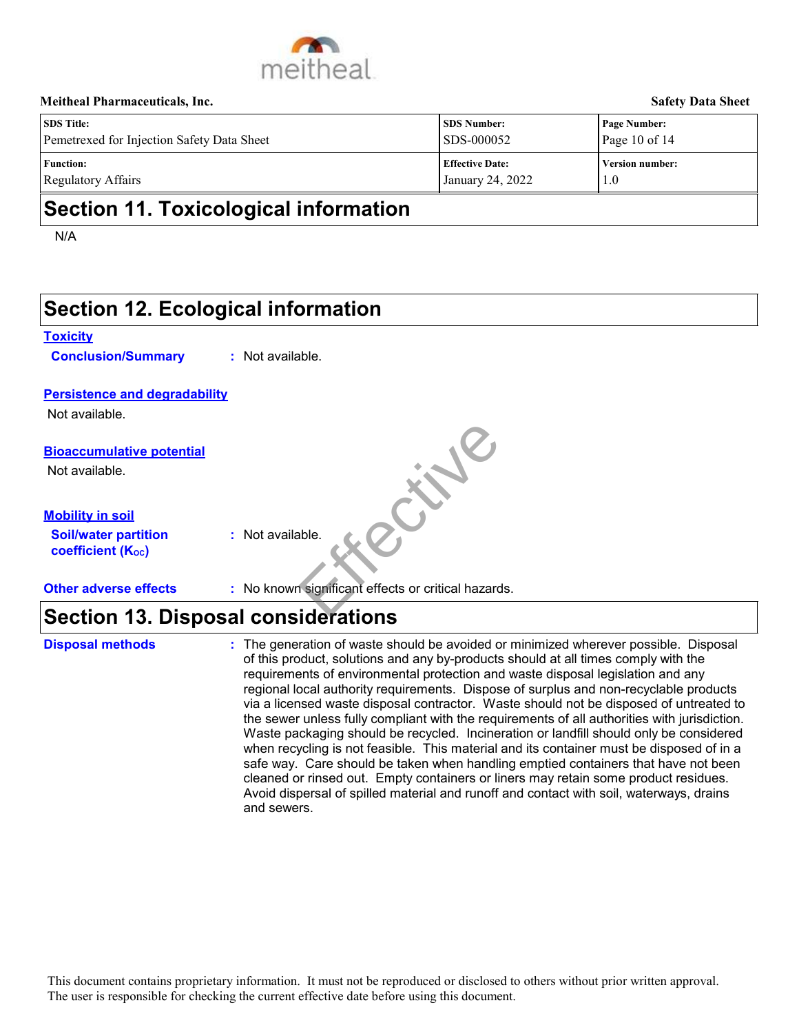

| <b>SDS</b> Title:                          | <b>SDS Number:</b>     | <b>Page Number:</b>    |
|--------------------------------------------|------------------------|------------------------|
| Pemetrexed for Injection Safety Data Sheet | <b>SDS-000052</b>      | Page 10 of 14          |
| <b>Function:</b>                           | <b>Effective Date:</b> | <b>Version number:</b> |
| Regulatory Affairs                         | January 24, 2022       | 1.0                    |

## **Section 11. Toxicological information**

N/A

|                                                         | <b>Section 12. Ecological information</b>                                                                                                                                                                                                                                                                                                                                                                                                                                                                                                                                                                                                                                                                                                                                                                                                                                                                                                                                                                                     |
|---------------------------------------------------------|-------------------------------------------------------------------------------------------------------------------------------------------------------------------------------------------------------------------------------------------------------------------------------------------------------------------------------------------------------------------------------------------------------------------------------------------------------------------------------------------------------------------------------------------------------------------------------------------------------------------------------------------------------------------------------------------------------------------------------------------------------------------------------------------------------------------------------------------------------------------------------------------------------------------------------------------------------------------------------------------------------------------------------|
| <b>Toxicity</b><br><b>Conclusion/Summary</b>            | : Not available.                                                                                                                                                                                                                                                                                                                                                                                                                                                                                                                                                                                                                                                                                                                                                                                                                                                                                                                                                                                                              |
| <b>Persistence and degradability</b>                    |                                                                                                                                                                                                                                                                                                                                                                                                                                                                                                                                                                                                                                                                                                                                                                                                                                                                                                                                                                                                                               |
| Not available.                                          |                                                                                                                                                                                                                                                                                                                                                                                                                                                                                                                                                                                                                                                                                                                                                                                                                                                                                                                                                                                                                               |
| <b>Bioaccumulative potential</b><br>Not available.      | Julie 16                                                                                                                                                                                                                                                                                                                                                                                                                                                                                                                                                                                                                                                                                                                                                                                                                                                                                                                                                                                                                      |
| <b>Mobility in soil</b>                                 |                                                                                                                                                                                                                                                                                                                                                                                                                                                                                                                                                                                                                                                                                                                                                                                                                                                                                                                                                                                                                               |
| <b>Soil/water partition</b><br><b>coefficient (Koc)</b> | : Not available.                                                                                                                                                                                                                                                                                                                                                                                                                                                                                                                                                                                                                                                                                                                                                                                                                                                                                                                                                                                                              |
| <b>Other adverse effects</b>                            | : No known significant effects or critical hazards.                                                                                                                                                                                                                                                                                                                                                                                                                                                                                                                                                                                                                                                                                                                                                                                                                                                                                                                                                                           |
|                                                         | <b>Section 13. Disposal considerations</b>                                                                                                                                                                                                                                                                                                                                                                                                                                                                                                                                                                                                                                                                                                                                                                                                                                                                                                                                                                                    |
| <b>Disposal methods</b>                                 | : The generation of waste should be avoided or minimized wherever possible. Disposal<br>of this product, solutions and any by-products should at all times comply with the<br>requirements of environmental protection and waste disposal legislation and any<br>regional local authority requirements. Dispose of surplus and non-recyclable products<br>via a licensed waste disposal contractor. Waste should not be disposed of untreated to<br>the sewer unless fully compliant with the requirements of all authorities with jurisdiction.<br>Waste packaging should be recycled. Incineration or landfill should only be considered<br>when recycling is not feasible. This material and its container must be disposed of in a<br>safe way. Care should be taken when handling emptied containers that have not been<br>cleaned or rinsed out. Empty containers or liners may retain some product residues.<br>Avoid dispersal of spilled material and runoff and contact with soil, waterways, drains<br>and sewers. |
|                                                         | This document contains proprietary information. It must not be reproduced or disclosed to others without prior written approval.<br>The user is responsible for checking the current effective date before using this document.                                                                                                                                                                                                                                                                                                                                                                                                                                                                                                                                                                                                                                                                                                                                                                                               |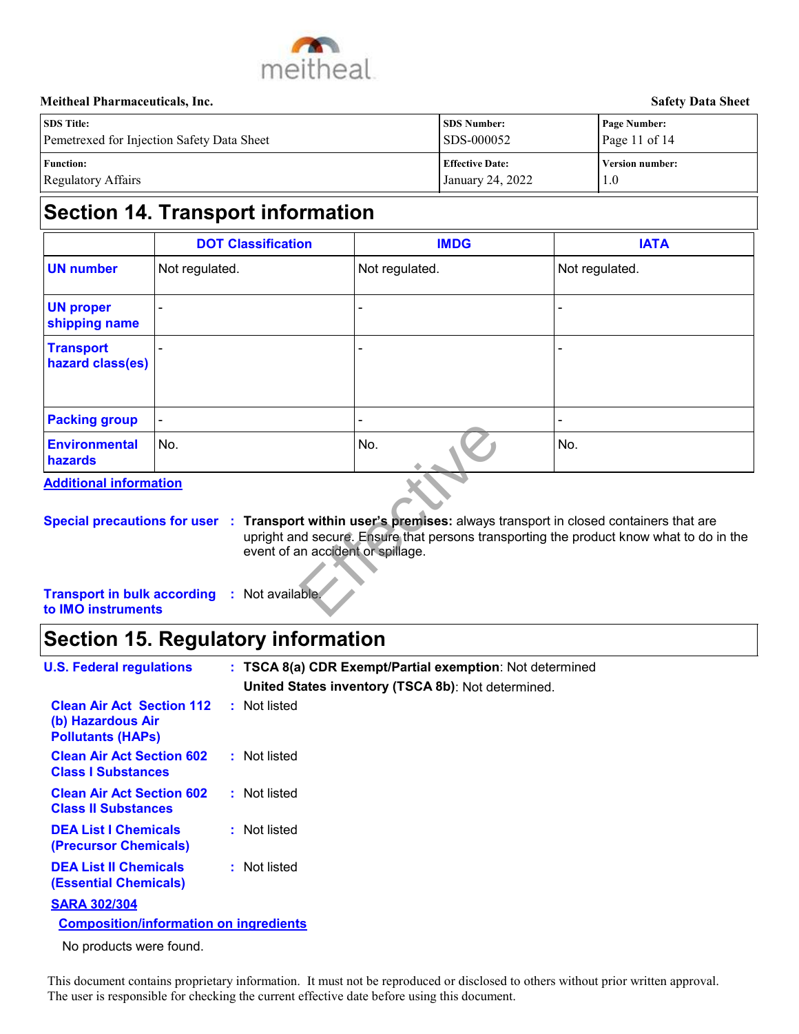

| <b>SDS</b> Title:                          | <b>SDS Number:</b>     | <b>Page Number:</b>    |
|--------------------------------------------|------------------------|------------------------|
| Pemetrexed for Injection Safety Data Sheet | SDS-000052             | Page 11 of 14          |
| <b>Function:</b>                           | <b>Effective Date:</b> | <b>Version number:</b> |
| Regulatory Affairs                         | January 24, 2022       | 1.0                    |

# **Section 14. Transport information**

|                                      | <b>DOT Classification</b> | <b>IMDG</b>    | <b>IATA</b>              |
|--------------------------------------|---------------------------|----------------|--------------------------|
| <b>UN number</b>                     | Not regulated.            | Not regulated. | Not regulated.           |
| <b>UN proper</b><br>shipping name    | -                         |                | ٠                        |
| <b>Transport</b><br>hazard class(es) |                           |                | $\overline{\phantom{0}}$ |
| <b>Packing group</b>                 | $\blacksquare$            | ۰              | $\overline{\phantom{0}}$ |
| <b>Environmental</b><br>hazards      | No.                       | No.            | No.                      |

**Special precautions for user Transport within user's premises:** always transport in closed containers that are **:** upright and secure. Ensure that persons transporting the product know what to do in the event of an accident or spillage.

## **Section 15. Regulatory information**

| i avning grvup                                                                              |     |                                   |     |                                                          |                                                                                                                                                                                                    |
|---------------------------------------------------------------------------------------------|-----|-----------------------------------|-----|----------------------------------------------------------|----------------------------------------------------------------------------------------------------------------------------------------------------------------------------------------------------|
| <b>Environmental</b><br>hazards                                                             | No. |                                   | No. |                                                          | No.                                                                                                                                                                                                |
| <b>Additional information</b>                                                               |     |                                   |     |                                                          |                                                                                                                                                                                                    |
|                                                                                             |     | event of an accident or spillage. |     |                                                          | Special precautions for user : Transport within user's premises: always transport in closed containers that an<br>upright and secure. Ensure that persons transporting the product know what to do |
| <b>Transport in bulk according</b><br>to IMO instruments                                    |     | : Not available.                  |     |                                                          |                                                                                                                                                                                                    |
| <b>Section 15. Regulatory information</b>                                                   |     |                                   |     |                                                          |                                                                                                                                                                                                    |
| <b>U.S. Federal regulations</b>                                                             |     |                                   |     | : TSCA 8(a) CDR Exempt/Partial exemption: Not determined |                                                                                                                                                                                                    |
|                                                                                             |     |                                   |     | United States inventory (TSCA 8b): Not determined.       |                                                                                                                                                                                                    |
| <b>Clean Air Act Section 112</b><br>(b) Hazardous Air<br><b>Pollutants (HAPs)</b>           |     | : Not listed                      |     |                                                          |                                                                                                                                                                                                    |
| <b>Clean Air Act Section 602</b><br><b>Class I Substances</b>                               |     | : Not listed                      |     |                                                          |                                                                                                                                                                                                    |
| <b>Clean Air Act Section 602</b><br><b>Class II Substances</b>                              |     | : Not listed                      |     |                                                          |                                                                                                                                                                                                    |
| <b>DEA List I Chemicals</b><br>(Precursor Chemicals)                                        |     | : Not listed                      |     |                                                          |                                                                                                                                                                                                    |
| <b>DEA List II Chemicals</b><br><b>(Essential Chemicals)</b>                                |     | : Not listed                      |     |                                                          |                                                                                                                                                                                                    |
| <b>SARA 302/304</b>                                                                         |     |                                   |     |                                                          |                                                                                                                                                                                                    |
| <b>Composition/information on ingredients</b>                                               |     |                                   |     |                                                          |                                                                                                                                                                                                    |
| No products were found.                                                                     |     |                                   |     |                                                          |                                                                                                                                                                                                    |
| The user is responsible for checking the current effective date before using this document. |     |                                   |     |                                                          | This document contains proprietary information. It must not be reproduced or disclosed to others without prior written approv                                                                      |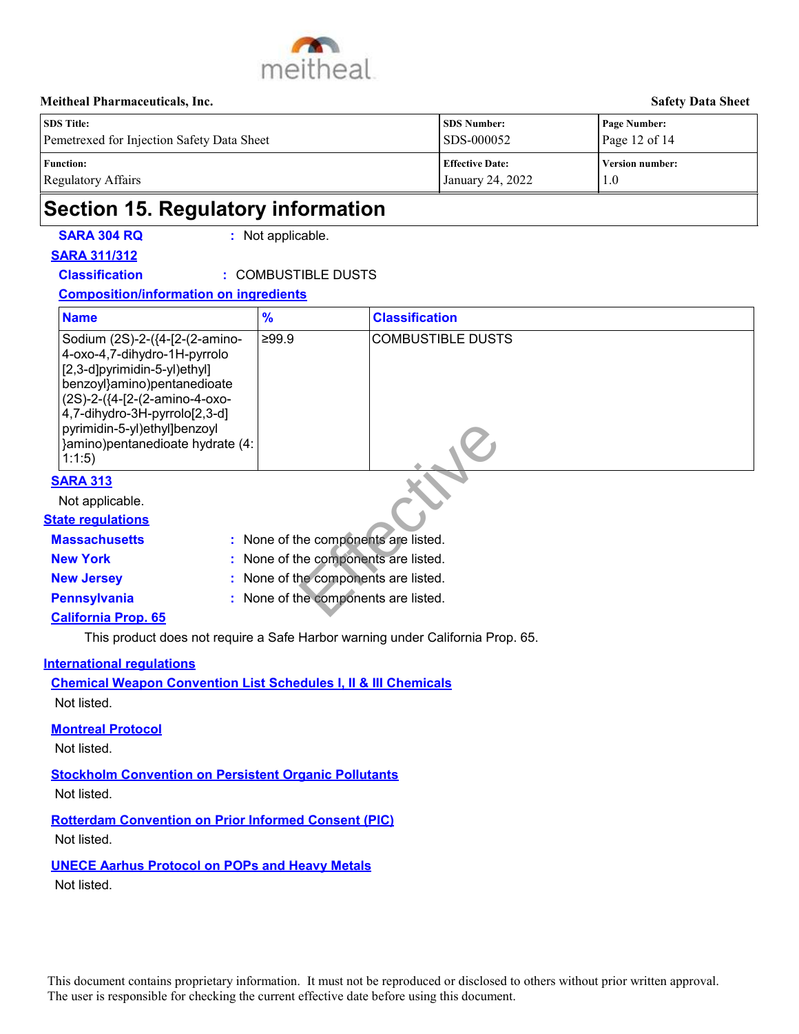

| <b>SDS</b> Title:                          | <b>SDS Number:</b>     | <b>Page Number:</b>    |
|--------------------------------------------|------------------------|------------------------|
| Pemetrexed for Injection Safety Data Sheet | SDS-000052             | Page 12 of $14$        |
| <b>Function:</b>                           | <b>Effective Date:</b> | <b>Version number:</b> |
| Regulatory Affairs                         | January 24, 2022       | 1.0                    |

## **Section 15. Regulatory information**

**SARA 304 RQ :** Not applicable.

### **SARA 311/312**

### **Classification :** COMBUSTIBLE DUSTS

### **Composition/information on ingredients**

| <b>Name</b>                                                                                                                                                                                                                                                                  | $\frac{9}{6}$                        | <b>Classification</b>                                                                                                            |
|------------------------------------------------------------------------------------------------------------------------------------------------------------------------------------------------------------------------------------------------------------------------------|--------------------------------------|----------------------------------------------------------------------------------------------------------------------------------|
| Sodium (2S)-2-({4-[2-(2-amino-<br>4-oxo-4,7-dihydro-1H-pyrrolo<br>[2,3-d]pyrimidin-5-yl)ethyl]<br>benzoyl}amino)pentanedioate<br>(2S)-2-({4-[2-(2-amino-4-oxo-<br>4,7-dihydro-3H-pyrrolo[2,3-d]<br>pyrimidin-5-yl)ethyl]benzoyl<br>}amino)pentanedioate hydrate (4:<br>1:1:5 | ≥99.9                                | <b>COMBUSTIBLE DUSTS</b>                                                                                                         |
| <b>SARA 313</b>                                                                                                                                                                                                                                                              |                                      |                                                                                                                                  |
| Not applicable.                                                                                                                                                                                                                                                              |                                      |                                                                                                                                  |
| <b>State regulations</b>                                                                                                                                                                                                                                                     |                                      |                                                                                                                                  |
| <b>Massachusetts</b>                                                                                                                                                                                                                                                         | : None of the components are listed. |                                                                                                                                  |
| <b>New York</b>                                                                                                                                                                                                                                                              | None of the components are listed.   |                                                                                                                                  |
| <b>New Jersey</b>                                                                                                                                                                                                                                                            | None of the components are listed.   |                                                                                                                                  |
| <b>Pennsylvania</b><br>÷.                                                                                                                                                                                                                                                    | None of the components are listed.   |                                                                                                                                  |
| <b>California Prop. 65</b>                                                                                                                                                                                                                                                   |                                      |                                                                                                                                  |
| This product does not require a Safe Harbor warning under California Prop. 65.                                                                                                                                                                                               |                                      |                                                                                                                                  |
| nternational regulations<br><b>Chemical Weapon Convention List Schedules I, II &amp; III Chemicals</b><br>Not listed.<br><b>Montreal Protocol</b>                                                                                                                            |                                      |                                                                                                                                  |
| Not listed.                                                                                                                                                                                                                                                                  |                                      |                                                                                                                                  |
| <b>Stockholm Convention on Persistent Organic Pollutants</b><br>Not listed.                                                                                                                                                                                                  |                                      |                                                                                                                                  |
| <b>Rotterdam Convention on Prior Informed Consent (PIC)</b><br>Not listed.                                                                                                                                                                                                   |                                      |                                                                                                                                  |
| <b>UNECE Aarhus Protocol on POPs and Heavy Metals</b><br>Not listed.                                                                                                                                                                                                         |                                      |                                                                                                                                  |
| The user is responsible for checking the current effective date before using this document.                                                                                                                                                                                  |                                      | This document contains proprietary information. It must not be reproduced or disclosed to others without prior written approval. |

### **SARA 313**

### **State regulations**

- **New York :** None of the components are listed.
- 
- **New Jersey :** None of the components are listed.

### **California Prop. 65**

### **International regulations**

#### **Montreal Protocol**

## **Stockholm Convention on Persistent Organic Pollutants**

### **UNECE Aarhus Protocol on POPs and Heavy Metals**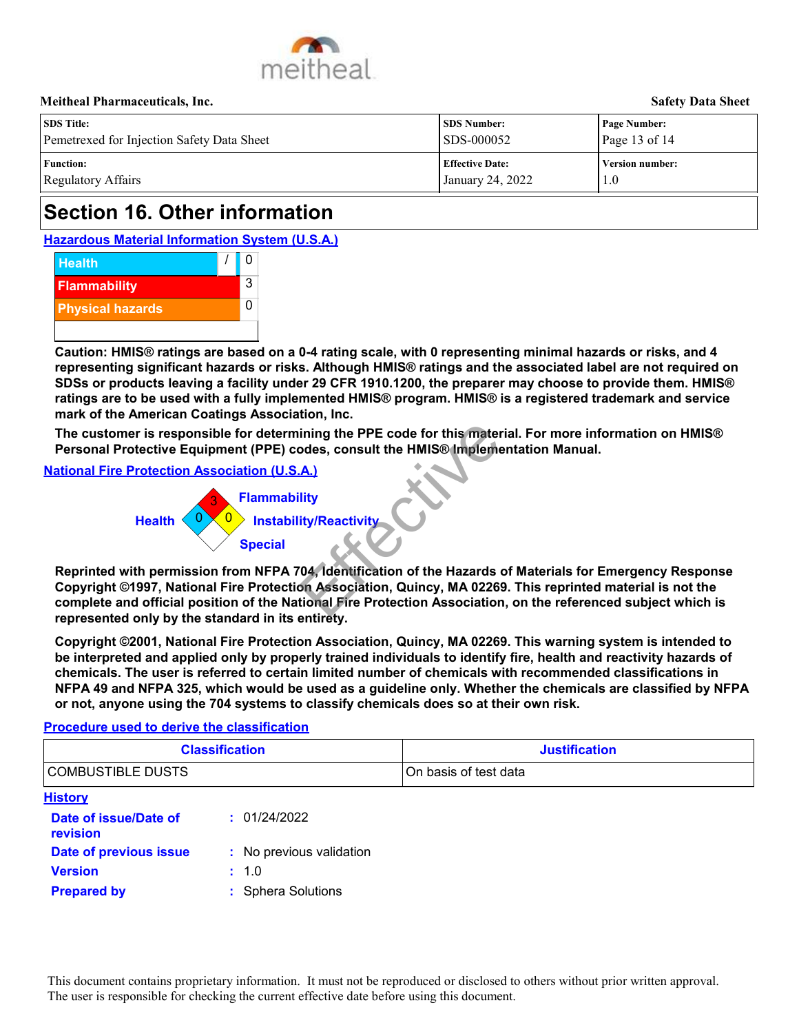

| <b>SDS</b> Title:                          | SDS Number:             | <b>Page Number:</b>    |
|--------------------------------------------|-------------------------|------------------------|
| Pemetrexed for Injection Safety Data Sheet | SDS-000052              | Page 13 of 14          |
| <b>Function:</b>                           | <b>Effective Date:</b>  | <b>Version number:</b> |
| Regulatory Affairs                         | <b>January 24, 2022</b> | 1.0                    |

# **Section 16. Other information**

**Hazardous Material Information System (U.S.A.)**



**Caution: HMIS® ratings are based on a 0-4 rating scale, with 0 representing minimal hazards or risks, and 4 representing significant hazards or risks. Although HMIS® ratings and the associated label are not required on SDSs or products leaving a facility under 29 CFR 1910.1200, the preparer may choose to provide them. HMIS® ratings are to be used with a fully implemented HMIS® program. HMIS® is a registered trademark and service mark of the American Coatings Association, Inc.**

#### **National Fire Protection Association (U.S.A.)**

#### **Procedure used to derive the classification**

|                                                                                                                            |                                                                                       | The customer is responsible for determining the PPE code for this material. For more information on HMIS®<br>Personal Protective Equipment (PPE) codes, consult the HMIS® Implementation Manual.                                                                                                                                                                                                                                                               |
|----------------------------------------------------------------------------------------------------------------------------|---------------------------------------------------------------------------------------|----------------------------------------------------------------------------------------------------------------------------------------------------------------------------------------------------------------------------------------------------------------------------------------------------------------------------------------------------------------------------------------------------------------------------------------------------------------|
| <b>National Fire Protection Association (U.S.A.)</b><br><b>Health</b><br>represented only by the standard in its entirety. | <b>Flammability</b><br><b>Instability/Reactivity</b><br><b>Special</b>                | Reprinted with permission from NFPA 704, Identification of the Hazards of Materials for Emergency Response<br>Copyright ©1997, National Fire Protection Association, Quincy, MA 02269. This reprinted material is not the<br>complete and official position of the National Fire Protection Association, on the referenced subject which is                                                                                                                    |
|                                                                                                                            | or not, anyone using the 704 systems to classify chemicals does so at their own risk. | Copyright ©2001, National Fire Protection Association, Quincy, MA 02269. This warning system is intended to<br>be interpreted and applied only by properly trained individuals to identify fire, health and reactivity hazards of<br>chemicals. The user is referred to certain limited number of chemicals with recommended classifications in<br>NFPA 49 and NFPA 325, which would be used as a guideline only. Whether the chemicals are classified by NFPA |
| Procedure used to derive the classification                                                                                |                                                                                       |                                                                                                                                                                                                                                                                                                                                                                                                                                                                |
|                                                                                                                            | <b>Classification</b>                                                                 | <b>Justification</b>                                                                                                                                                                                                                                                                                                                                                                                                                                           |
| <b>COMBUSTIBLE DUSTS</b>                                                                                                   |                                                                                       | On basis of test data                                                                                                                                                                                                                                                                                                                                                                                                                                          |
| <b>History</b>                                                                                                             |                                                                                       |                                                                                                                                                                                                                                                                                                                                                                                                                                                                |
| Date of issue/Date of<br>revision                                                                                          | : 01/24/2022                                                                          |                                                                                                                                                                                                                                                                                                                                                                                                                                                                |
| Date of previous issue                                                                                                     | : No previous validation                                                              |                                                                                                                                                                                                                                                                                                                                                                                                                                                                |
| <b>Version</b>                                                                                                             | : 1.0                                                                                 |                                                                                                                                                                                                                                                                                                                                                                                                                                                                |
| <b>Prepared by</b>                                                                                                         | : Sphera Solutions                                                                    |                                                                                                                                                                                                                                                                                                                                                                                                                                                                |